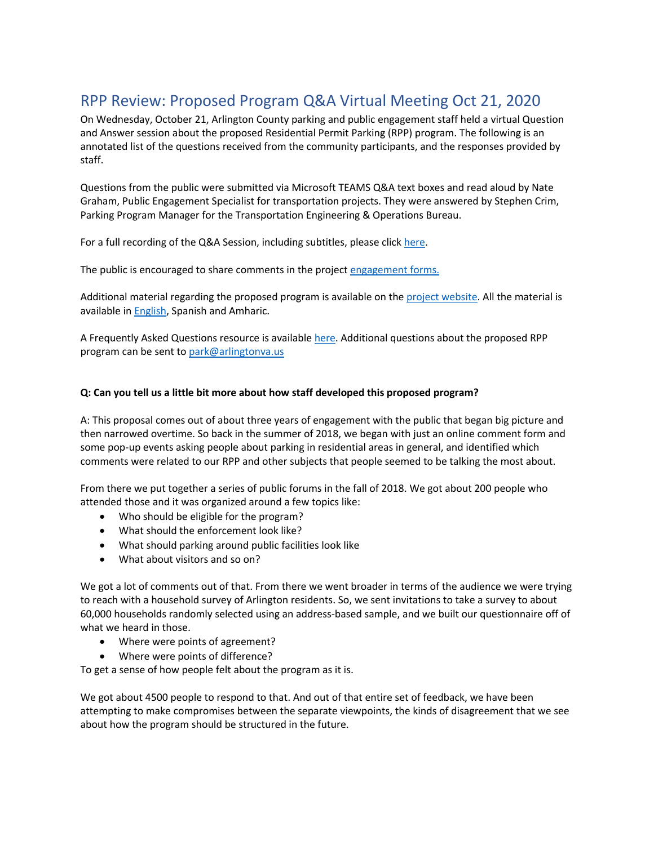# RPP Review: Proposed Program Q&A Virtual Meeting Oct 21, 2020

On Wednesday, October 21, Arlington County parking and public engagement staff held a virtual Question and Answer session about the proposed Residential Permit Parking (RPP) program. The following is an annotated list of the questions received from the community participants, and the responses provided by staff.

Questions from the public were submitted via Microsoft TEAMS Q&A text boxes and read aloud by Nate Graham, Public Engagement Specialist for transportation projects. They were answered by Stephen Crim, Parking Program Manager for the Transportation Engineering & Operations Bureau.

For a full recording of the Q&A Session, including subtitles, please click here.

The public is encouraged to share comments in the project engagement forms.

Additional material regarding the proposed program is available on the project website. All the material is available in **English**, Spanish and Amharic.

A Frequently Asked Questions resource is available here. Additional questions about the proposed RPP program can be sent to park@arlingtonva.us

#### **Q: Can you tell us a little bit more about how staff developed this proposed program?**

A: This proposal comes out of about three years of engagement with the public that began big picture and then narrowed overtime. So back in the summer of 2018, we began with just an online comment form and some pop-up events asking people about parking in residential areas in general, and identified which comments were related to our RPP and other subjects that people seemed to be talking the most about.

From there we put together a series of public forums in the fall of 2018. We got about 200 people who attended those and it was organized around a few topics like:

- Who should be eligible for the program?
- What should the enforcement look like?
- What should parking around public facilities look like
- What about visitors and so on?

We got a lot of comments out of that. From there we went broader in terms of the audience we were trying to reach with a household survey of Arlington residents. So, we sent invitations to take a survey to about 60,000 households randomly selected using an address-based sample, and we built our questionnaire off of what we heard in those.

- Where were points of agreement?
- Where were points of difference?

To get a sense of how people felt about the program as it is.

We got about 4500 people to respond to that. And out of that entire set of feedback, we have been attempting to make compromises between the separate viewpoints, the kinds of disagreement that we see about how the program should be structured in the future.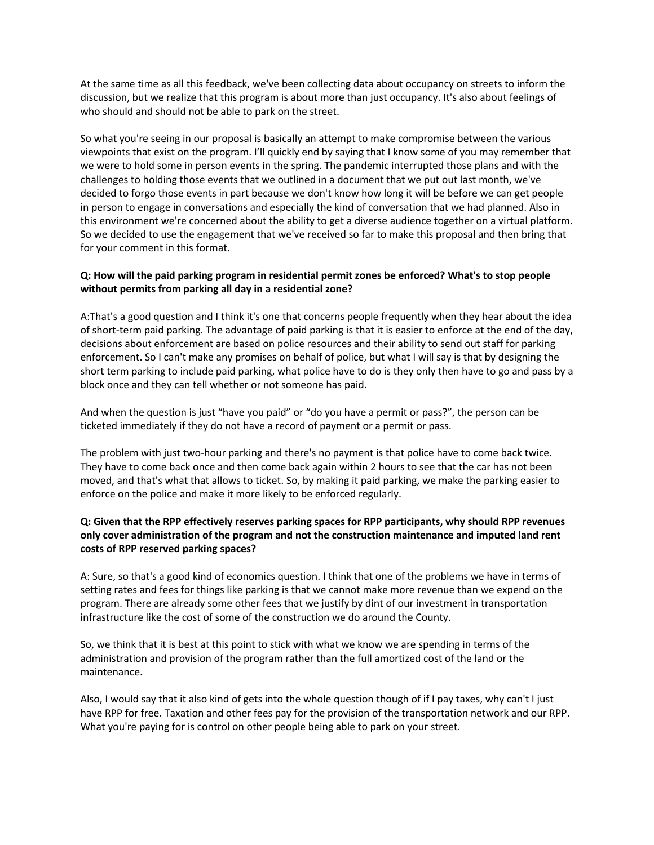At the same time as all this feedback, we've been collecting data about occupancy on streets to inform the discussion, but we realize that this program is about more than just occupancy. It's also about feelings of who should and should not be able to park on the street.

So what you're seeing in our proposal is basically an attempt to make compromise between the various viewpoints that exist on the program. I'll quickly end by saying that I know some of you may remember that we were to hold some in person events in the spring. The pandemic interrupted those plans and with the challenges to holding those events that we outlined in a document that we put out last month, we've decided to forgo those events in part because we don't know how long it will be before we can get people in person to engage in conversations and especially the kind of conversation that we had planned. Also in this environment we're concerned about the ability to get a diverse audience together on a virtual platform. So we decided to use the engagement that we've received so far to make this proposal and then bring that for your comment in this format.

# **Q: How will the paid parking program in residential permit zones be enforced? What's to stop people without permits from parking all day in a residential zone?**

A:That's a good question and I think it's one that concerns people frequently when they hear about the idea of short-term paid parking. The advantage of paid parking is that it is easier to enforce at the end of the day, decisions about enforcement are based on police resources and their ability to send out staff for parking enforcement. So I can't make any promises on behalf of police, but what I will say is that by designing the short term parking to include paid parking, what police have to do is they only then have to go and pass by a block once and they can tell whether or not someone has paid.

And when the question is just "have you paid" or "do you have a permit or pass?", the person can be ticketed immediately if they do not have a record of payment or a permit or pass.

The problem with just two-hour parking and there's no payment is that police have to come back twice. They have to come back once and then come back again within 2 hours to see that the car has not been moved, and that's what that allows to ticket. So, by making it paid parking, we make the parking easier to enforce on the police and make it more likely to be enforced regularly.

# **Q: Given that the RPP effectively reserves parking spaces for RPP participants, why should RPP revenues only cover administration of the program and not the construction maintenance and imputed land rent costs of RPP reserved parking spaces?**

A: Sure, so that's a good kind of economics question. I think that one of the problems we have in terms of setting rates and fees for things like parking is that we cannot make more revenue than we expend on the program. There are already some other fees that we justify by dint of our investment in transportation infrastructure like the cost of some of the construction we do around the County.

So, we think that it is best at this point to stick with what we know we are spending in terms of the administration and provision of the program rather than the full amortized cost of the land or the maintenance.

Also, I would say that it also kind of gets into the whole question though of if I pay taxes, why can't I just have RPP for free. Taxation and other fees pay for the provision of the transportation network and our RPP. What you're paying for is control on other people being able to park on your street.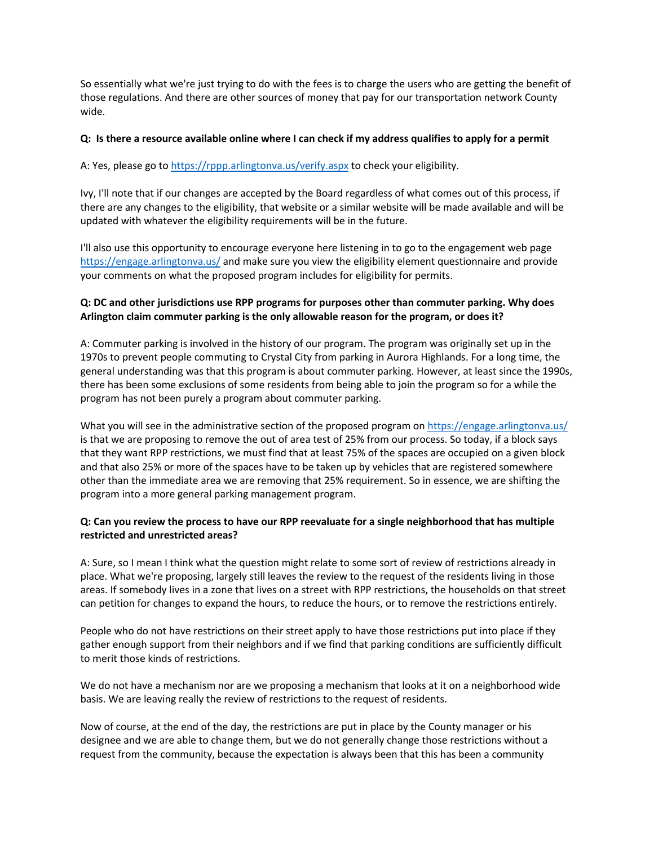So essentially what we're just trying to do with the fees is to charge the users who are getting the benefit of those regulations. And there are other sources of money that pay for our transportation network County wide.

#### **Q: Is there a resource available online where I can check if my address qualifies to apply for a permit**

A: Yes, please go to https://rppp.arlingtonva.us/verify.aspx to check your eligibility.

Ivy, I'll note that if our changes are accepted by the Board regardless of what comes out of this process, if there are any changes to the eligibility, that website or a similar website will be made available and will be updated with whatever the eligibility requirements will be in the future.

I'll also use this opportunity to encourage everyone here listening in to go to the engagement web page https://engage.arlingtonva.us/ and make sure you view the eligibility element questionnaire and provide your comments on what the proposed program includes for eligibility for permits.

# **Q: DC and other jurisdictions use RPP programs for purposes other than commuter parking. Why does Arlington claim commuter parking is the only allowable reason for the program, or does it?**

A: Commuter parking is involved in the history of our program. The program was originally set up in the 1970s to prevent people commuting to Crystal City from parking in Aurora Highlands. For a long time, the general understanding was that this program is about commuter parking. However, at least since the 1990s, there has been some exclusions of some residents from being able to join the program so for a while the program has not been purely a program about commuter parking.

What you will see in the administrative section of the proposed program on https://engage.arlingtonva.us/ is that we are proposing to remove the out of area test of 25% from our process. So today, if a block says that they want RPP restrictions, we must find that at least 75% of the spaces are occupied on a given block and that also 25% or more of the spaces have to be taken up by vehicles that are registered somewhere other than the immediate area we are removing that 25% requirement. So in essence, we are shifting the program into a more general parking management program.

# **Q: Can you review the process to have our RPP reevaluate for a single neighborhood that has multiple restricted and unrestricted areas?**

A: Sure, so I mean I think what the question might relate to some sort of review of restrictions already in place. What we're proposing, largely still leaves the review to the request of the residents living in those areas. If somebody lives in a zone that lives on a street with RPP restrictions, the households on that street can petition for changes to expand the hours, to reduce the hours, or to remove the restrictions entirely.

People who do not have restrictions on their street apply to have those restrictions put into place if they gather enough support from their neighbors and if we find that parking conditions are sufficiently difficult to merit those kinds of restrictions.

We do not have a mechanism nor are we proposing a mechanism that looks at it on a neighborhood wide basis. We are leaving really the review of restrictions to the request of residents.

Now of course, at the end of the day, the restrictions are put in place by the County manager or his designee and we are able to change them, but we do not generally change those restrictions without a request from the community, because the expectation is always been that this has been a community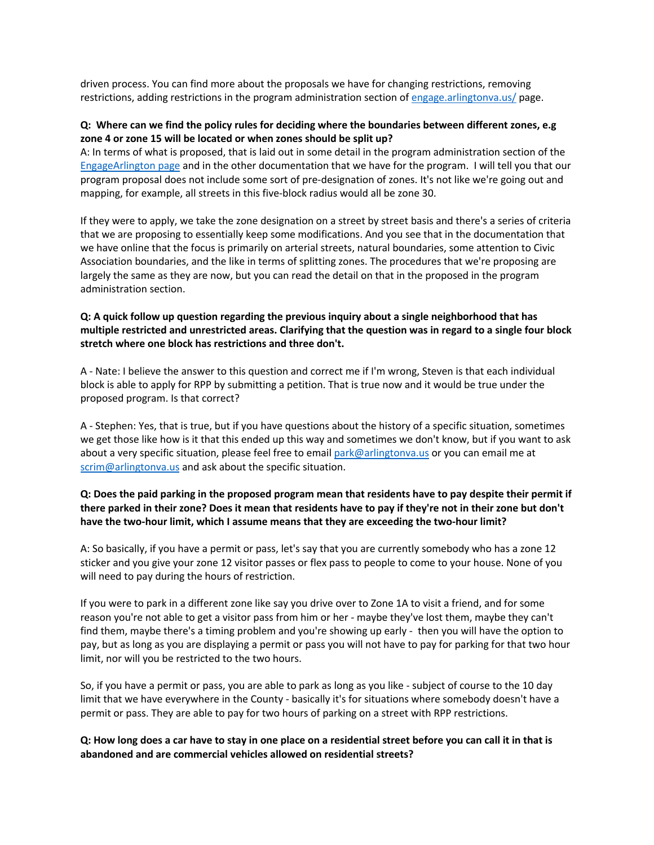driven process. You can find more about the proposals we have for changing restrictions, removing restrictions, adding restrictions in the program administration section of engage.arlingtonva.us/ page.

#### **Q: Where can we find the policy rules for deciding where the boundaries between different zones, e.g zone 4 or zone 15 will be located or when zones should be split up?**

A: In terms of what is proposed, that is laid out in some detail in the program administration section of the EngageArlington page and in the other documentation that we have for the program. I will tell you that our program proposal does not include some sort of pre-designation of zones. It's not like we're going out and mapping, for example, all streets in this five-block radius would all be zone 30.

If they were to apply, we take the zone designation on a street by street basis and there's a series of criteria that we are proposing to essentially keep some modifications. And you see that in the documentation that we have online that the focus is primarily on arterial streets, natural boundaries, some attention to Civic Association boundaries, and the like in terms of splitting zones. The procedures that we're proposing are largely the same as they are now, but you can read the detail on that in the proposed in the program administration section.

#### **Q: A quick follow up question regarding the previous inquiry about a single neighborhood that has multiple restricted and unrestricted areas. Clarifying that the question was in regard to a single four block stretch where one block has restrictions and three don't.**

A - Nate: I believe the answer to this question and correct me if I'm wrong, Steven is that each individual block is able to apply for RPP by submitting a petition. That is true now and it would be true under the proposed program. Is that correct?

A - Stephen: Yes, that is true, but if you have questions about the history of a specific situation, sometimes we get those like how is it that this ended up this way and sometimes we don't know, but if you want to ask about a very specific situation, please feel free to email park@arlingtonva.us or you can email me at scrim@arlingtonva.us and ask about the specific situation.

# **Q: Does the paid parking in the proposed program mean that residents have to pay despite their permit if there parked in their zone? Does it mean that residents have to pay if they're not in their zone but don't have the two-hour limit, which I assume means that they are exceeding the two-hour limit?**

A: So basically, if you have a permit or pass, let's say that you are currently somebody who has a zone 12 sticker and you give your zone 12 visitor passes or flex pass to people to come to your house. None of you will need to pay during the hours of restriction.

If you were to park in a different zone like say you drive over to Zone 1A to visit a friend, and for some reason you're not able to get a visitor pass from him or her - maybe they've lost them, maybe they can't find them, maybe there's a timing problem and you're showing up early - then you will have the option to pay, but as long as you are displaying a permit or pass you will not have to pay for parking for that two hour limit, nor will you be restricted to the two hours.

So, if you have a permit or pass, you are able to park as long as you like - subject of course to the 10 day limit that we have everywhere in the County - basically it's for situations where somebody doesn't have a permit or pass. They are able to pay for two hours of parking on a street with RPP restrictions.

#### **Q: How long does a car have to stay in one place on a residential street before you can call it in that is abandoned and are commercial vehicles allowed on residential streets?**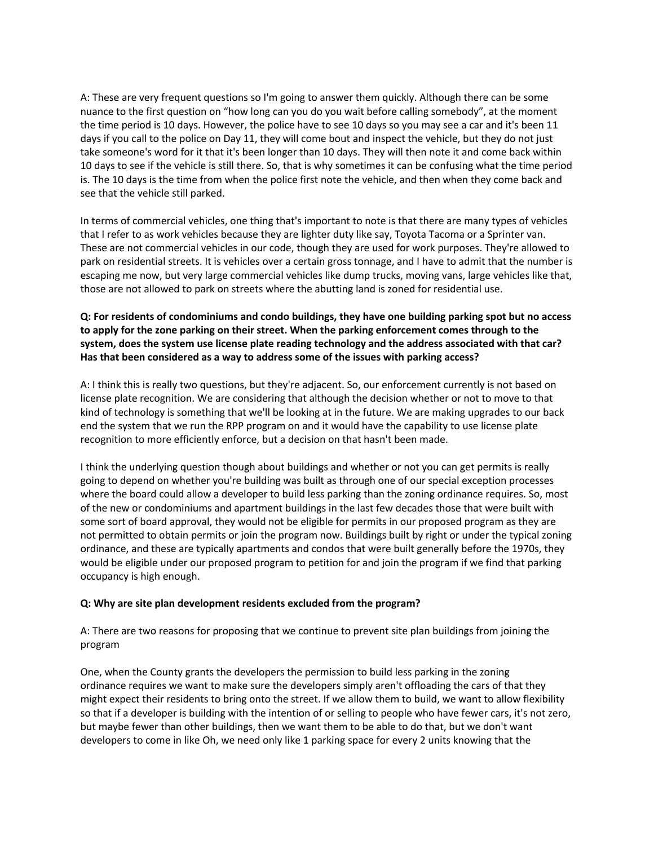A: These are very frequent questions so I'm going to answer them quickly. Although there can be some nuance to the first question on "how long can you do you wait before calling somebody", at the moment the time period is 10 days. However, the police have to see 10 days so you may see a car and it's been 11 days if you call to the police on Day 11, they will come bout and inspect the vehicle, but they do not just take someone's word for it that it's been longer than 10 days. They will then note it and come back within 10 days to see if the vehicle is still there. So, that is why sometimes it can be confusing what the time period is. The 10 days is the time from when the police first note the vehicle, and then when they come back and see that the vehicle still parked.

In terms of commercial vehicles, one thing that's important to note is that there are many types of vehicles that I refer to as work vehicles because they are lighter duty like say, Toyota Tacoma or a Sprinter van. These are not commercial vehicles in our code, though they are used for work purposes. They're allowed to park on residential streets. It is vehicles over a certain gross tonnage, and I have to admit that the number is escaping me now, but very large commercial vehicles like dump trucks, moving vans, large vehicles like that, those are not allowed to park on streets where the abutting land is zoned for residential use.

# **Q: For residents of condominiums and condo buildings, they have one building parking spot but no access to apply for the zone parking on their street. When the parking enforcement comes through to the system, does the system use license plate reading technology and the address associated with that car? Has that been considered as a way to address some of the issues with parking access?**

A: I think this is really two questions, but they're adjacent. So, our enforcement currently is not based on license plate recognition. We are considering that although the decision whether or not to move to that kind of technology is something that we'll be looking at in the future. We are making upgrades to our back end the system that we run the RPP program on and it would have the capability to use license plate recognition to more efficiently enforce, but a decision on that hasn't been made.

I think the underlying question though about buildings and whether or not you can get permits is really going to depend on whether you're building was built as through one of our special exception processes where the board could allow a developer to build less parking than the zoning ordinance requires. So, most of the new or condominiums and apartment buildings in the last few decades those that were built with some sort of board approval, they would not be eligible for permits in our proposed program as they are not permitted to obtain permits or join the program now. Buildings built by right or under the typical zoning ordinance, and these are typically apartments and condos that were built generally before the 1970s, they would be eligible under our proposed program to petition for and join the program if we find that parking occupancy is high enough.

#### **Q: Why are site plan development residents excluded from the program?**

A: There are two reasons for proposing that we continue to prevent site plan buildings from joining the program

One, when the County grants the developers the permission to build less parking in the zoning ordinance requires we want to make sure the developers simply aren't offloading the cars of that they might expect their residents to bring onto the street. If we allow them to build, we want to allow flexibility so that if a developer is building with the intention of or selling to people who have fewer cars, it's not zero, but maybe fewer than other buildings, then we want them to be able to do that, but we don't want developers to come in like Oh, we need only like 1 parking space for every 2 units knowing that the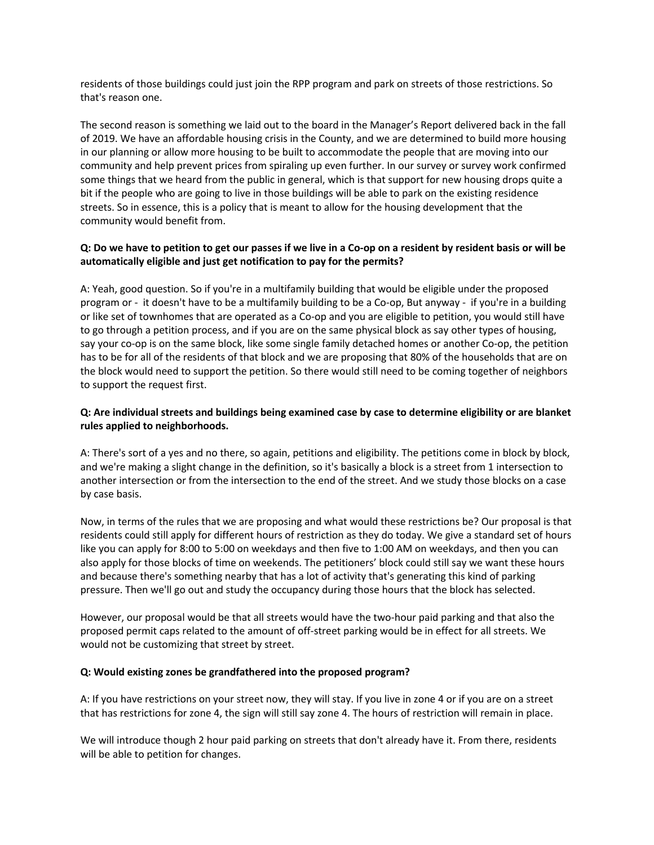residents of those buildings could just join the RPP program and park on streets of those restrictions. So that's reason one.

The second reason is something we laid out to the board in the Manager's Report delivered back in the fall of 2019. We have an affordable housing crisis in the County, and we are determined to build more housing in our planning or allow more housing to be built to accommodate the people that are moving into our community and help prevent prices from spiraling up even further. In our survey or survey work confirmed some things that we heard from the public in general, which is that support for new housing drops quite a bit if the people who are going to live in those buildings will be able to park on the existing residence streets. So in essence, this is a policy that is meant to allow for the housing development that the community would benefit from.

# **Q: Do we have to petition to get our passes if we live in a Co-op on a resident by resident basis or will be automatically eligible and just get notification to pay for the permits?**

A: Yeah, good question. So if you're in a multifamily building that would be eligible under the proposed program or - it doesn't have to be a multifamily building to be a Co-op, But anyway - if you're in a building or like set of townhomes that are operated as a Co-op and you are eligible to petition, you would still have to go through a petition process, and if you are on the same physical block as say other types of housing, say your co-op is on the same block, like some single family detached homes or another Co-op, the petition has to be for all of the residents of that block and we are proposing that 80% of the households that are on the block would need to support the petition. So there would still need to be coming together of neighbors to support the request first.

# **Q: Are individual streets and buildings being examined case by case to determine eligibility or are blanket rules applied to neighborhoods.**

A: There's sort of a yes and no there, so again, petitions and eligibility. The petitions come in block by block, and we're making a slight change in the definition, so it's basically a block is a street from 1 intersection to another intersection or from the intersection to the end of the street. And we study those blocks on a case by case basis.

Now, in terms of the rules that we are proposing and what would these restrictions be? Our proposal is that residents could still apply for different hours of restriction as they do today. We give a standard set of hours like you can apply for 8:00 to 5:00 on weekdays and then five to 1:00 AM on weekdays, and then you can also apply for those blocks of time on weekends. The petitioners' block could still say we want these hours and because there's something nearby that has a lot of activity that's generating this kind of parking pressure. Then we'll go out and study the occupancy during those hours that the block has selected.

However, our proposal would be that all streets would have the two-hour paid parking and that also the proposed permit caps related to the amount of off-street parking would be in effect for all streets. We would not be customizing that street by street.

#### **Q: Would existing zones be grandfathered into the proposed program?**

A: If you have restrictions on your street now, they will stay. If you live in zone 4 or if you are on a street that has restrictions for zone 4, the sign will still say zone 4. The hours of restriction will remain in place.

We will introduce though 2 hour paid parking on streets that don't already have it. From there, residents will be able to petition for changes.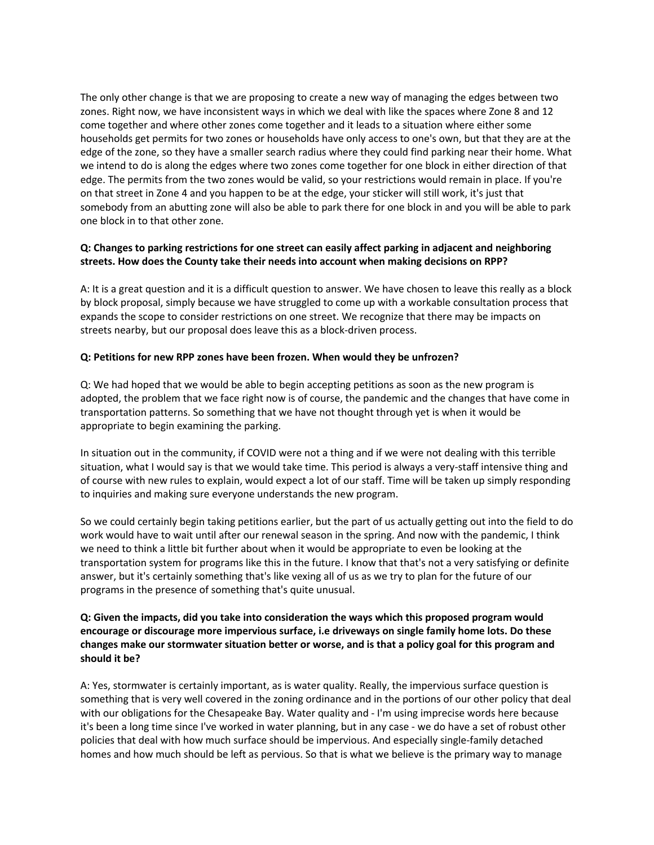The only other change is that we are proposing to create a new way of managing the edges between two zones. Right now, we have inconsistent ways in which we deal with like the spaces where Zone 8 and 12 come together and where other zones come together and it leads to a situation where either some households get permits for two zones or households have only access to one's own, but that they are at the edge of the zone, so they have a smaller search radius where they could find parking near their home. What we intend to do is along the edges where two zones come together for one block in either direction of that edge. The permits from the two zones would be valid, so your restrictions would remain in place. If you're on that street in Zone 4 and you happen to be at the edge, your sticker will still work, it's just that somebody from an abutting zone will also be able to park there for one block in and you will be able to park one block in to that other zone.

# **Q: Changes to parking restrictions for one street can easily affect parking in adjacent and neighboring streets. How does the County take their needs into account when making decisions on RPP?**

A: It is a great question and it is a difficult question to answer. We have chosen to leave this really as a block by block proposal, simply because we have struggled to come up with a workable consultation process that expands the scope to consider restrictions on one street. We recognize that there may be impacts on streets nearby, but our proposal does leave this as a block-driven process.

#### **Q: Petitions for new RPP zones have been frozen. When would they be unfrozen?**

Q: We had hoped that we would be able to begin accepting petitions as soon as the new program is adopted, the problem that we face right now is of course, the pandemic and the changes that have come in transportation patterns. So something that we have not thought through yet is when it would be appropriate to begin examining the parking.

In situation out in the community, if COVID were not a thing and if we were not dealing with this terrible situation, what I would say is that we would take time. This period is always a very-staff intensive thing and of course with new rules to explain, would expect a lot of our staff. Time will be taken up simply responding to inquiries and making sure everyone understands the new program.

So we could certainly begin taking petitions earlier, but the part of us actually getting out into the field to do work would have to wait until after our renewal season in the spring. And now with the pandemic, I think we need to think a little bit further about when it would be appropriate to even be looking at the transportation system for programs like this in the future. I know that that's not a very satisfying or definite answer, but it's certainly something that's like vexing all of us as we try to plan for the future of our programs in the presence of something that's quite unusual.

# **Q: Given the impacts, did you take into consideration the ways which this proposed program would encourage or discourage more impervious surface, i.e driveways on single family home lots. Do these changes make our stormwater situation better or worse, and is that a policy goal for this program and should it be?**

A: Yes, stormwater is certainly important, as is water quality. Really, the impervious surface question is something that is very well covered in the zoning ordinance and in the portions of our other policy that deal with our obligations for the Chesapeake Bay. Water quality and - I'm using imprecise words here because it's been a long time since I've worked in water planning, but in any case - we do have a set of robust other policies that deal with how much surface should be impervious. And especially single-family detached homes and how much should be left as pervious. So that is what we believe is the primary way to manage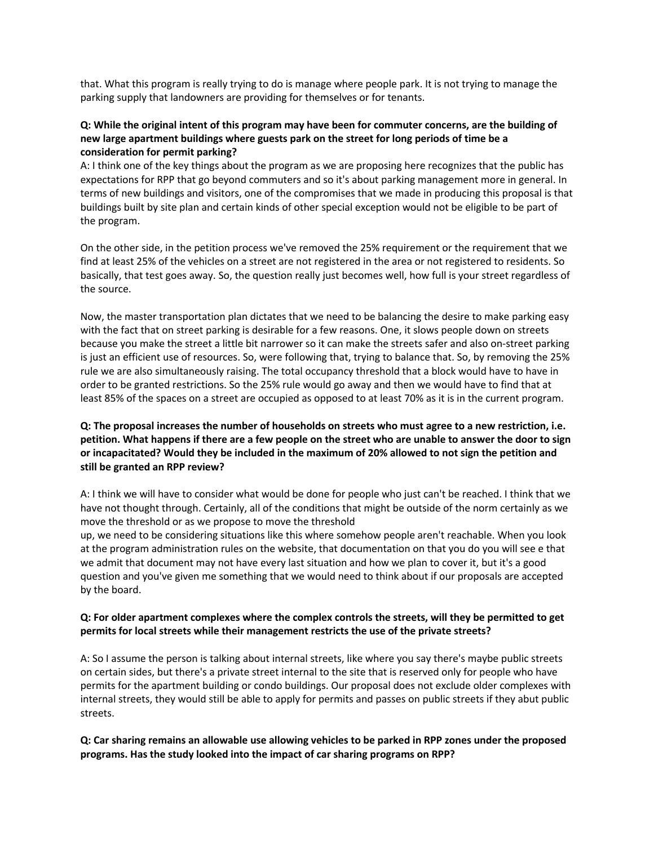that. What this program is really trying to do is manage where people park. It is not trying to manage the parking supply that landowners are providing for themselves or for tenants.

#### **Q: While the original intent of this program may have been for commuter concerns, are the building of new large apartment buildings where guests park on the street for long periods of time be a consideration for permit parking?**

A: I think one of the key things about the program as we are proposing here recognizes that the public has expectations for RPP that go beyond commuters and so it's about parking management more in general. In terms of new buildings and visitors, one of the compromises that we made in producing this proposal is that buildings built by site plan and certain kinds of other special exception would not be eligible to be part of the program.

On the other side, in the petition process we've removed the 25% requirement or the requirement that we find at least 25% of the vehicles on a street are not registered in the area or not registered to residents. So basically, that test goes away. So, the question really just becomes well, how full is your street regardless of the source.

Now, the master transportation plan dictates that we need to be balancing the desire to make parking easy with the fact that on street parking is desirable for a few reasons. One, it slows people down on streets because you make the street a little bit narrower so it can make the streets safer and also on-street parking is just an efficient use of resources. So, were following that, trying to balance that. So, by removing the 25% rule we are also simultaneously raising. The total occupancy threshold that a block would have to have in order to be granted restrictions. So the 25% rule would go away and then we would have to find that at least 85% of the spaces on a street are occupied as opposed to at least 70% as it is in the current program.

# **Q: The proposal increases the number of households on streets who must agree to a new restriction, i.e. petition. What happens if there are a few people on the street who are unable to answer the door to sign or incapacitated? Would they be included in the maximum of 20% allowed to not sign the petition and still be granted an RPP review?**

A: I think we will have to consider what would be done for people who just can't be reached. I think that we have not thought through. Certainly, all of the conditions that might be outside of the norm certainly as we move the threshold or as we propose to move the threshold

up, we need to be considering situations like this where somehow people aren't reachable. When you look at the program administration rules on the website, that documentation on that you do you will see e that we admit that document may not have every last situation and how we plan to cover it, but it's a good question and you've given me something that we would need to think about if our proposals are accepted by the board.

#### **Q: For older apartment complexes where the complex controls the streets, will they be permitted to get permits for local streets while their management restricts the use of the private streets?**

A: So I assume the person is talking about internal streets, like where you say there's maybe public streets on certain sides, but there's a private street internal to the site that is reserved only for people who have permits for the apartment building or condo buildings. Our proposal does not exclude older complexes with internal streets, they would still be able to apply for permits and passes on public streets if they abut public streets.

# **Q: Car sharing remains an allowable use allowing vehicles to be parked in RPP zones under the proposed programs. Has the study looked into the impact of car sharing programs on RPP?**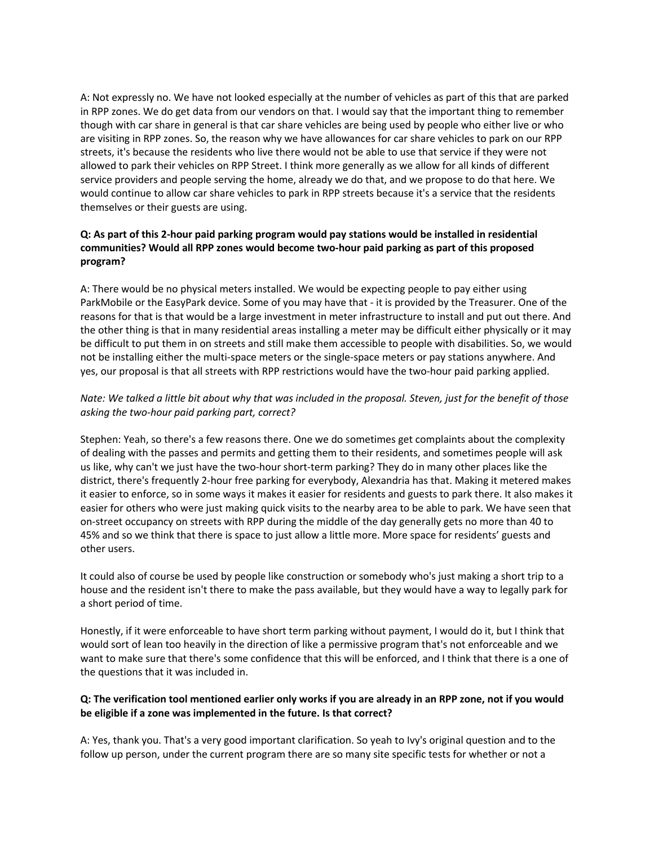A: Not expressly no. We have not looked especially at the number of vehicles as part of this that are parked in RPP zones. We do get data from our vendors on that. I would say that the important thing to remember though with car share in general is that car share vehicles are being used by people who either live or who are visiting in RPP zones. So, the reason why we have allowances for car share vehicles to park on our RPP streets, it's because the residents who live there would not be able to use that service if they were not allowed to park their vehicles on RPP Street. I think more generally as we allow for all kinds of different service providers and people serving the home, already we do that, and we propose to do that here. We would continue to allow car share vehicles to park in RPP streets because it's a service that the residents themselves or their guests are using.

# **Q: As part of this 2-hour paid parking program would pay stations would be installed in residential communities? Would all RPP zones would become two-hour paid parking as part of this proposed program?**

A: There would be no physical meters installed. We would be expecting people to pay either using ParkMobile or the EasyPark device. Some of you may have that - it is provided by the Treasurer. One of the reasons for that is that would be a large investment in meter infrastructure to install and put out there. And the other thing is that in many residential areas installing a meter may be difficult either physically or it may be difficult to put them in on streets and still make them accessible to people with disabilities. So, we would not be installing either the multi-space meters or the single-space meters or pay stations anywhere. And yes, our proposal is that all streets with RPP restrictions would have the two-hour paid parking applied.

# *Nate: We talked a little bit about why that was included in the proposal. Steven, just for the benefit of those asking the two-hour paid parking part, correct?*

Stephen: Yeah, so there's a few reasons there. One we do sometimes get complaints about the complexity of dealing with the passes and permits and getting them to their residents, and sometimes people will ask us like, why can't we just have the two-hour short-term parking? They do in many other places like the district, there's frequently 2-hour free parking for everybody, Alexandria has that. Making it metered makes it easier to enforce, so in some ways it makes it easier for residents and guests to park there. It also makes it easier for others who were just making quick visits to the nearby area to be able to park. We have seen that on-street occupancy on streets with RPP during the middle of the day generally gets no more than 40 to 45% and so we think that there is space to just allow a little more. More space for residents' guests and other users.

It could also of course be used by people like construction or somebody who's just making a short trip to a house and the resident isn't there to make the pass available, but they would have a way to legally park for a short period of time.

Honestly, if it were enforceable to have short term parking without payment, I would do it, but I think that would sort of lean too heavily in the direction of like a permissive program that's not enforceable and we want to make sure that there's some confidence that this will be enforced, and I think that there is a one of the questions that it was included in.

# **Q: The verification tool mentioned earlier only works if you are already in an RPP zone, not if you would be eligible if a zone was implemented in the future. Is that correct?**

A: Yes, thank you. That's a very good important clarification. So yeah to Ivy's original question and to the follow up person, under the current program there are so many site specific tests for whether or not a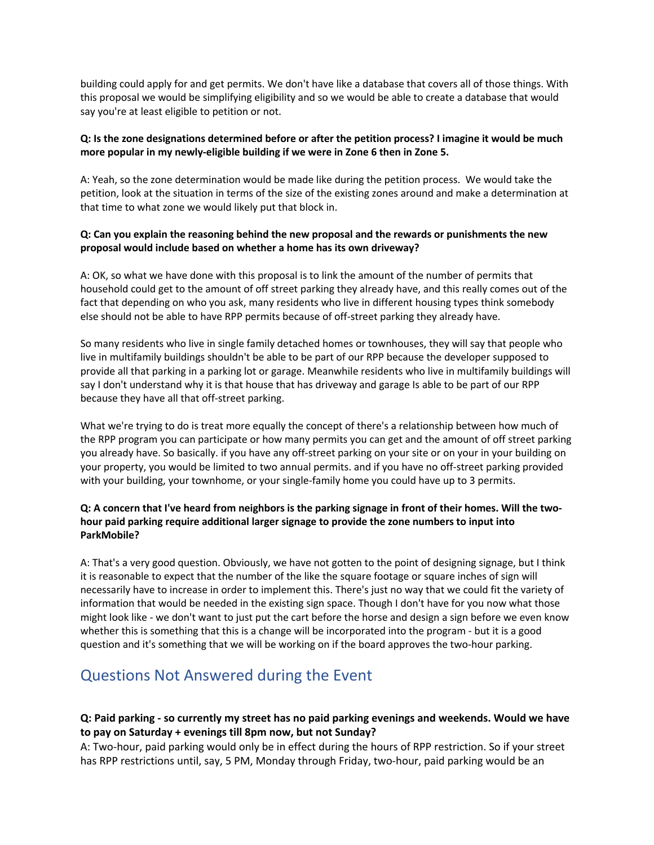building could apply for and get permits. We don't have like a database that covers all of those things. With this proposal we would be simplifying eligibility and so we would be able to create a database that would say you're at least eligible to petition or not.

# **Q: Is the zone designations determined before or after the petition process? I imagine it would be much more popular in my newly-eligible building if we were in Zone 6 then in Zone 5.**

A: Yeah, so the zone determination would be made like during the petition process. We would take the petition, look at the situation in terms of the size of the existing zones around and make a determination at that time to what zone we would likely put that block in.

# **Q: Can you explain the reasoning behind the new proposal and the rewards or punishments the new proposal would include based on whether a home has its own driveway?**

A: OK, so what we have done with this proposal is to link the amount of the number of permits that household could get to the amount of off street parking they already have, and this really comes out of the fact that depending on who you ask, many residents who live in different housing types think somebody else should not be able to have RPP permits because of off-street parking they already have.

So many residents who live in single family detached homes or townhouses, they will say that people who live in multifamily buildings shouldn't be able to be part of our RPP because the developer supposed to provide all that parking in a parking lot or garage. Meanwhile residents who live in multifamily buildings will say I don't understand why it is that house that has driveway and garage Is able to be part of our RPP because they have all that off-street parking.

What we're trying to do is treat more equally the concept of there's a relationship between how much of the RPP program you can participate or how many permits you can get and the amount of off street parking you already have. So basically. if you have any off-street parking on your site or on your in your building on your property, you would be limited to two annual permits. and if you have no off-street parking provided with your building, your townhome, or your single-family home you could have up to 3 permits.

# **Q: A concern that I've heard from neighbors is the parking signage in front of their homes. Will the twohour paid parking require additional larger signage to provide the zone numbers to input into ParkMobile?**

A: That's a very good question. Obviously, we have not gotten to the point of designing signage, but I think it is reasonable to expect that the number of the like the square footage or square inches of sign will necessarily have to increase in order to implement this. There's just no way that we could fit the variety of information that would be needed in the existing sign space. Though I don't have for you now what those might look like - we don't want to just put the cart before the horse and design a sign before we even know whether this is something that this is a change will be incorporated into the program - but it is a good question and it's something that we will be working on if the board approves the two-hour parking.

# Questions Not Answered during the Event

# **Q: Paid parking - so currently my street has no paid parking evenings and weekends. Would we have to pay on Saturday + evenings till 8pm now, but not Sunday?**

A: Two-hour, paid parking would only be in effect during the hours of RPP restriction. So if your street has RPP restrictions until, say, 5 PM, Monday through Friday, two-hour, paid parking would be an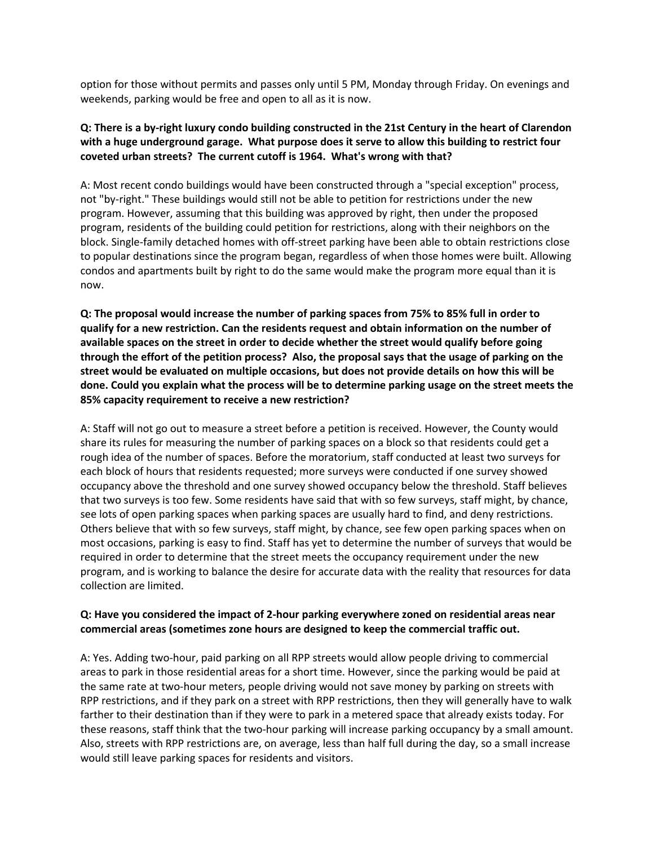option for those without permits and passes only until 5 PM, Monday through Friday. On evenings and weekends, parking would be free and open to all as it is now.

# **Q: There is a by-right luxury condo building constructed in the 21st Century in the heart of Clarendon with a huge underground garage. What purpose does it serve to allow this building to restrict four coveted urban streets? The current cutoff is 1964. What's wrong with that?**

A: Most recent condo buildings would have been constructed through a "special exception" process, not "by-right." These buildings would still not be able to petition for restrictions under the new program. However, assuming that this building was approved by right, then under the proposed program, residents of the building could petition for restrictions, along with their neighbors on the block. Single-family detached homes with off-street parking have been able to obtain restrictions close to popular destinations since the program began, regardless of when those homes were built. Allowing condos and apartments built by right to do the same would make the program more equal than it is now.

**Q: The proposal would increase the number of parking spaces from 75% to 85% full in order to qualify for a new restriction. Can the residents request and obtain information on the number of available spaces on the street in order to decide whether the street would qualify before going through the effort of the petition process? Also, the proposal says that the usage of parking on the street would be evaluated on multiple occasions, but does not provide details on how this will be done. Could you explain what the process will be to determine parking usage on the street meets the 85% capacity requirement to receive a new restriction?**

A: Staff will not go out to measure a street before a petition is received. However, the County would share its rules for measuring the number of parking spaces on a block so that residents could get a rough idea of the number of spaces. Before the moratorium, staff conducted at least two surveys for each block of hours that residents requested; more surveys were conducted if one survey showed occupancy above the threshold and one survey showed occupancy below the threshold. Staff believes that two surveys is too few. Some residents have said that with so few surveys, staff might, by chance, see lots of open parking spaces when parking spaces are usually hard to find, and deny restrictions. Others believe that with so few surveys, staff might, by chance, see few open parking spaces when on most occasions, parking is easy to find. Staff has yet to determine the number of surveys that would be required in order to determine that the street meets the occupancy requirement under the new program, and is working to balance the desire for accurate data with the reality that resources for data collection are limited.

# **Q: Have you considered the impact of 2-hour parking everywhere zoned on residential areas near commercial areas (sometimes zone hours are designed to keep the commercial traffic out.**

A: Yes. Adding two-hour, paid parking on all RPP streets would allow people driving to commercial areas to park in those residential areas for a short time. However, since the parking would be paid at the same rate at two-hour meters, people driving would not save money by parking on streets with RPP restrictions, and if they park on a street with RPP restrictions, then they will generally have to walk farther to their destination than if they were to park in a metered space that already exists today. For these reasons, staff think that the two-hour parking will increase parking occupancy by a small amount. Also, streets with RPP restrictions are, on average, less than half full during the day, so a small increase would still leave parking spaces for residents and visitors.